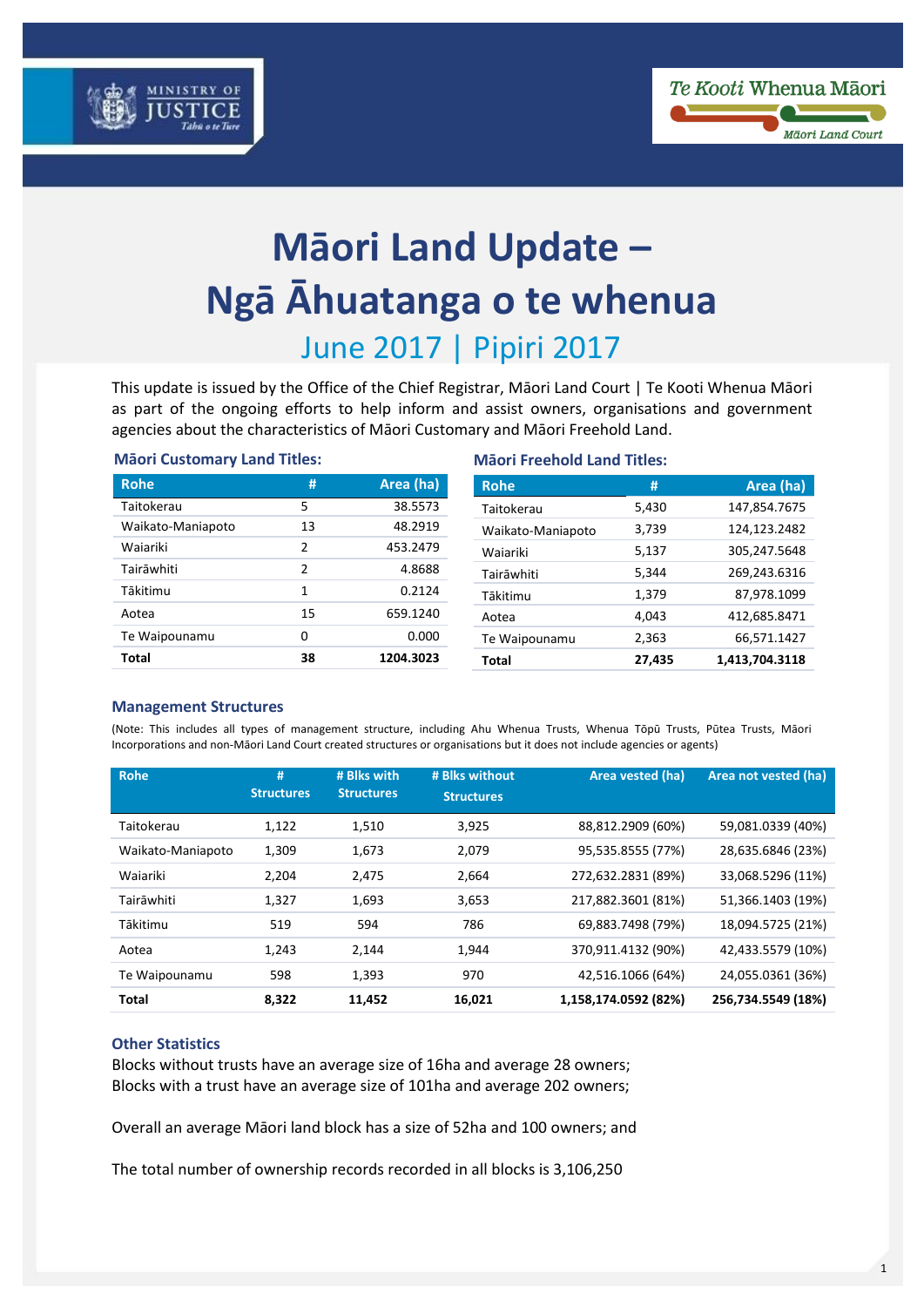



# **Māori Land Update – Ngā Āhuatanga o te whenua** June 2017 | Pipiri 2017

This update is issued by the Office of the Chief Registrar, Māori Land Court | Te Kooti Whenua Māori as part of the ongoing efforts to help inform and assist owners, organisations and government agencies about the characteristics of Māori Customary and Māori Freehold Land.

| <b>Mäori Customary Land Titles:</b> |    |           | <b>Mäori Freehold Land Titles:</b> |        |                |  |
|-------------------------------------|----|-----------|------------------------------------|--------|----------------|--|
| <b>Rohe</b>                         | #  | Area (ha) | <b>Rohe</b>                        | (井     | Area (ha)      |  |
| Taitokerau                          | 5  | 38.5573   | Taitokerau                         | 5,430  | 147,854.7675   |  |
| Waikato-Maniapoto                   | 13 | 48.2919   | Waikato-Maniapoto                  | 3,739  | 124,123.2482   |  |
| Waiariki                            | 2  | 453.2479  | Waiariki                           | 5,137  | 305,247.5648   |  |
| Tairāwhiti                          | 2  | 4.8688    | Tairāwhiti                         | 5,344  | 269,243.6316   |  |
| Tākitimu                            | 1  | 0.2124    | Tākitimu                           | 1,379  | 87,978.1099    |  |
| Aotea                               | 15 | 659.1240  | Aotea                              | 4,043  | 412,685.8471   |  |
| Te Waipounamu                       | 0  | 0.000     | Te Waipounamu                      | 2,363  | 66,571.1427    |  |
| <b>Total</b>                        | 38 | 1204.3023 | Total                              | 27.435 | 1,413,704.3118 |  |

## **Management Structures**

(Note: This includes all types of management structure, including Ahu Whenua Trusts, Whenua Tōpū Trusts, Pūtea Trusts, Māori Incorporations and non-Māori Land Court created structures or organisations but it does not include agencies or agents)

| <b>Rohe</b>       | #<br><b>Structures</b> | # Blks with<br><b>Structures</b> | # Blks without<br><b>Structures</b> | Area vested (ha)     | Area not vested (ha) |
|-------------------|------------------------|----------------------------------|-------------------------------------|----------------------|----------------------|
| Taitokerau        | 1,122                  | 1,510                            | 3,925                               | 88,812.2909 (60%)    | 59,081.0339 (40%)    |
| Waikato-Maniapoto | 1,309                  | 1,673                            | 2.079                               | 95,535.8555 (77%)    | 28,635.6846 (23%)    |
| Waiariki          | 2,204                  | 2,475                            | 2,664                               | 272,632.2831 (89%)   | 33,068.5296 (11%)    |
| Tairāwhiti        | 1.327                  | 1,693                            | 3,653                               | 217,882.3601 (81%)   | 51,366.1403 (19%)    |
| Tākitimu          | 519                    | 594                              | 786                                 | 69,883.7498 (79%)    | 18,094.5725 (21%)    |
| Aotea             | 1.243                  | 2.144                            | 1.944                               | 370,911.4132 (90%)   | 42,433.5579 (10%)    |
| Te Waipounamu     | 598                    | 1,393                            | 970                                 | 42,516.1066 (64%)    | 24,055.0361 (36%)    |
| <b>Total</b>      | 8,322                  | 11,452                           | 16,021                              | 1,158,174.0592 (82%) | 256,734.5549 (18%)   |

#### **Other Statistics**

Blocks without trusts have an average size of 16ha and average 28 owners; Blocks with a trust have an average size of 101ha and average 202 owners;

Overall an average Māori land block has a size of 52ha and 100 owners; and

The total number of ownership records recorded in all blocks is 3,106,250